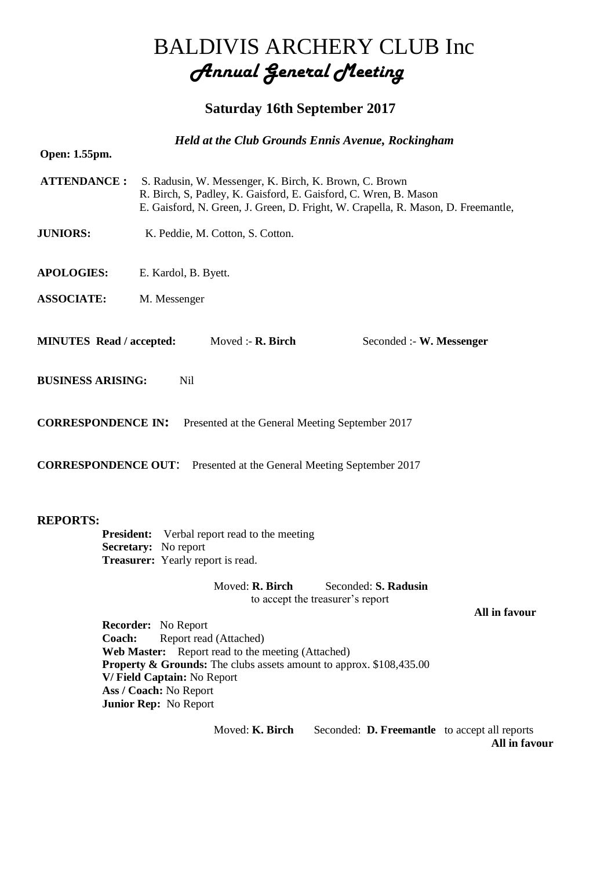## BALDIVIS ARCHERY CLUB Inc *Annual General Meeting*

## **Saturday 16th September 2017**

|                                 |                                                                                                                     |                                                                                                                                                                                                                 | <b>Held at the Club Grounds Ennis Avenue, Rockingham</b>                       |               |  |  |
|---------------------------------|---------------------------------------------------------------------------------------------------------------------|-----------------------------------------------------------------------------------------------------------------------------------------------------------------------------------------------------------------|--------------------------------------------------------------------------------|---------------|--|--|
| Open: 1.55pm.                   |                                                                                                                     |                                                                                                                                                                                                                 |                                                                                |               |  |  |
| <b>ATTENDANCE:</b>              |                                                                                                                     | S. Radusin, W. Messenger, K. Birch, K. Brown, C. Brown<br>R. Birch, S, Padley, K. Gaisford, E. Gaisford, C. Wren, B. Mason<br>E. Gaisford, N. Green, J. Green, D. Fright, W. Crapella, R. Mason, D. Freemantle, |                                                                                |               |  |  |
| <b>JUNIORS:</b>                 |                                                                                                                     | K. Peddie, M. Cotton, S. Cotton.                                                                                                                                                                                |                                                                                |               |  |  |
| <b>APOLOGIES:</b>               | E. Kardol, B. Byett.                                                                                                |                                                                                                                                                                                                                 |                                                                                |               |  |  |
| <b>ASSOCIATE:</b>               | M. Messenger                                                                                                        |                                                                                                                                                                                                                 |                                                                                |               |  |  |
| <b>MINUTES</b> Read / accepted: |                                                                                                                     | Moved :- $R$ . Birch                                                                                                                                                                                            | Seconded :- W. Messenger                                                       |               |  |  |
| <b>BUSINESS ARISING:</b>        | <b>Nil</b>                                                                                                          |                                                                                                                                                                                                                 |                                                                                |               |  |  |
| <b>CORRESPONDENCE IN:</b>       |                                                                                                                     |                                                                                                                                                                                                                 | Presented at the General Meeting September 2017                                |               |  |  |
|                                 |                                                                                                                     |                                                                                                                                                                                                                 | <b>CORRESPONDENCE OUT:</b> Presented at the General Meeting September 2017     |               |  |  |
| <b>REPORTS:</b><br>Coach:       | <b>President:</b><br>Secretary: No report<br><b>Treasurer:</b> Yearly report is read.<br><b>Recorder:</b> No Report | Verbal report read to the meeting<br>Moved: R. Birch<br>Report read (Attached)                                                                                                                                  | Seconded: S. Radusin<br>to accept the treasurer's report                       | All in favour |  |  |
|                                 | V/Field Captain: No Report<br>Ass / Coach: No Report<br>Junior Rep: No Report                                       | Web Master: Report read to the meeting (Attached)                                                                                                                                                               | <b>Property &amp; Grounds:</b> The clubs assets amount to approx. \$108,435.00 |               |  |  |
|                                 |                                                                                                                     | Moved: K. Birch                                                                                                                                                                                                 | Seconded: <b>D. Freemantle</b> to accept all reports                           |               |  |  |

**All in favour**